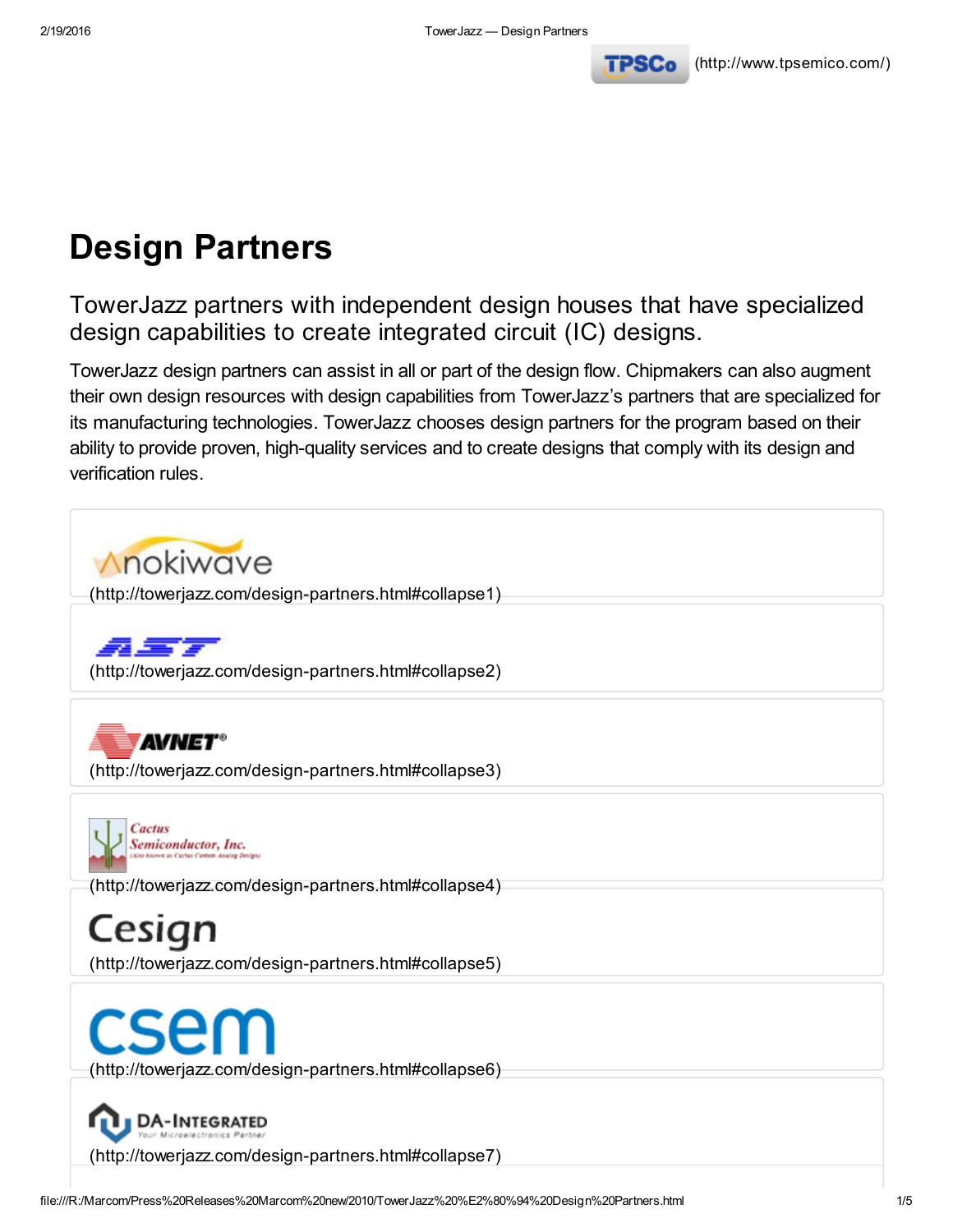

# Design Partners

TowerJazz partners with independent design houses that have specialized design capabilities to create integrated circuit (IC) designs.

TowerJazz design partners can assist in all or part of the design flow. Chipmakers can also augment their own design resources with design capabilities from TowerJazz's partners that are specialized for its manufacturing technologies. TowerJazz chooses design partners for the program based on their ability to provide proven, high-quality services and to create designs that comply with its design and verification rules.

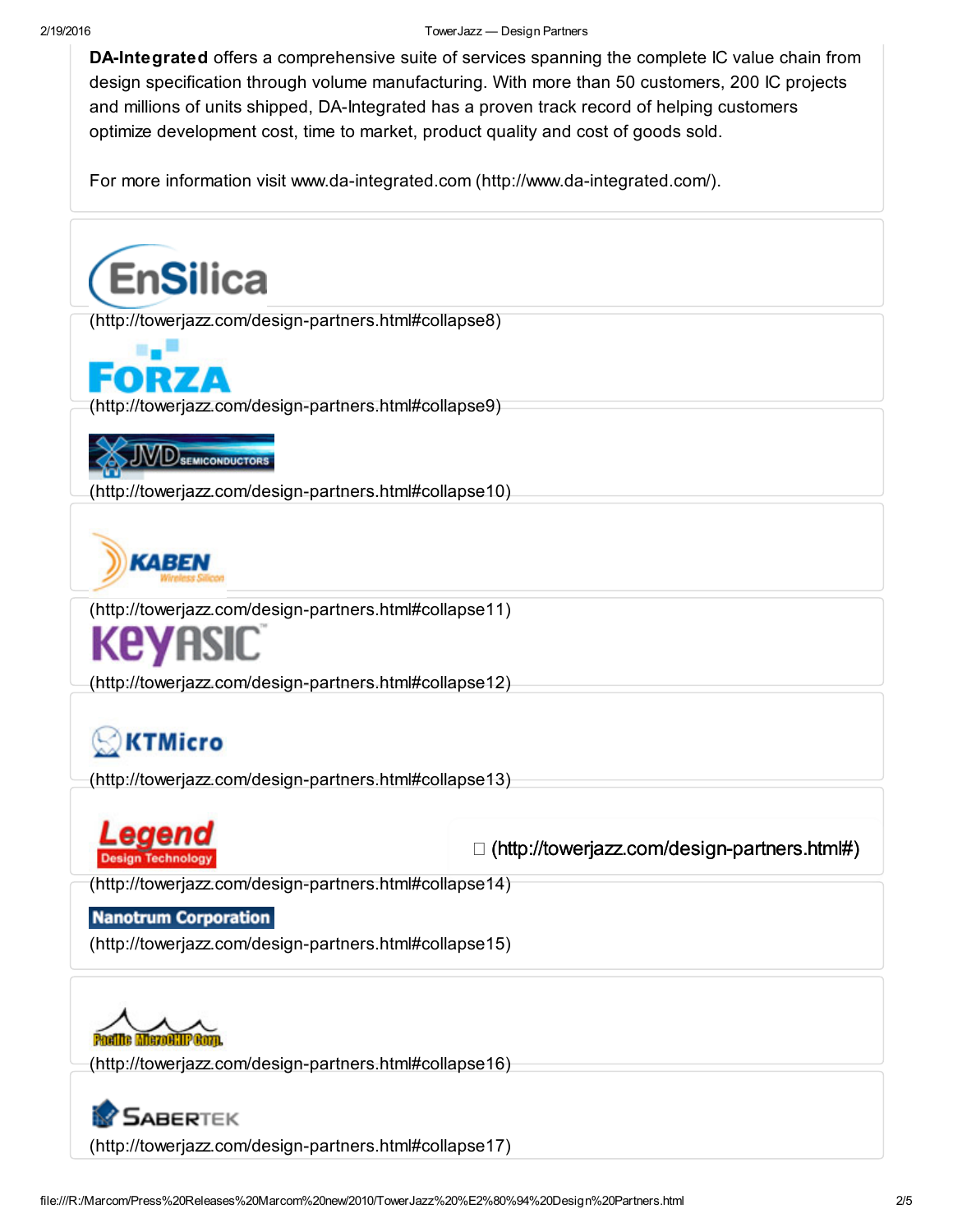#### 2/19/2016 TowerJazz — Design Partners

DA-Integrated offers a comprehensive suite of services spanning the complete IC value chain from design specification through volume manufacturing. With more than 50 customers, 200 IC projects and millions of units shipped, DA-Integrated has a proven track record of helping customers optimize development cost, time to market, product quality and cost of goods sold.

For more information visit www.da-integrated.com [\(http://www.da-integrated.com/\).](http://www.da-integrated.com/)

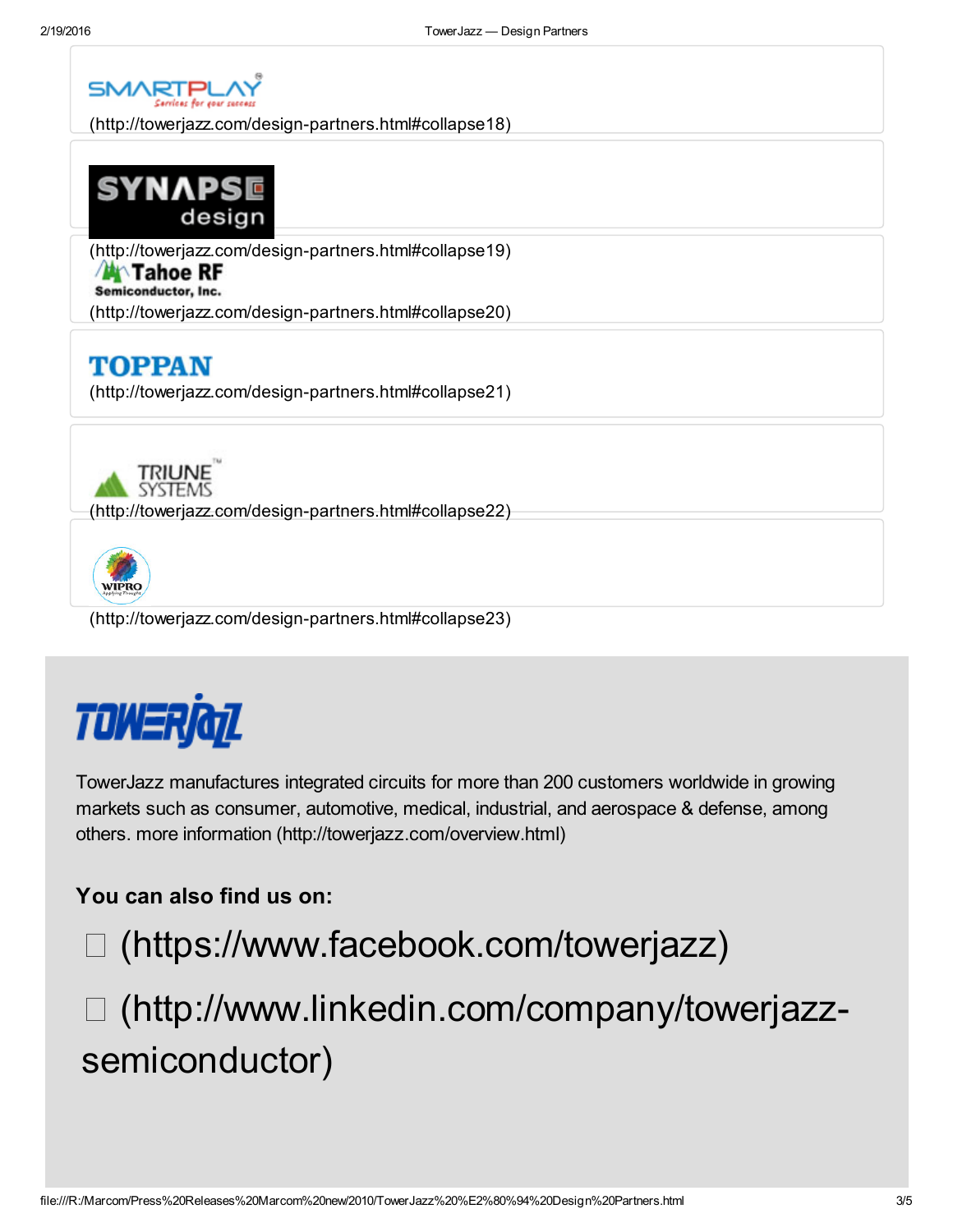

[\(http://towerjazz.com/design-partners.html#collapse18\)](http://towerjazz.com/design-partners.html#collapse18)



[\(http://towerjazz.com/design-partners.html#collapse19\)](http://towerjazz.com/design-partners.html#collapse19)

#### **A** Tahoe RF

Semiconductor, Inc.

[\(http://towerjazz.com/design-partners.html#collapse20\)](http://towerjazz.com/design-partners.html#collapse20)

## **TOPPAN**

[\(http://towerjazz.com/design-partners.html#collapse21\)](http://towerjazz.com/design-partners.html#collapse21)



[\(http://towerjazz.com/design-partners.html#collapse22\)](http://towerjazz.com/design-partners.html#collapse22)



[\(http://towerjazz.com/design-partners.html#collapse23\)](http://towerjazz.com/design-partners.html#collapse23)



TowerJazz manufactures integrated circuits for more than 200 customers worldwide in growing markets such as consumer, automotive, medical, industrial, and aerospace & defense, among others. more information [\(http://towerjazz.com/overview.html\)](http://towerjazz.com/overview.html)

### You can also find us on:

[\(https://www.facebook.com/towerjazz\)](https://www.facebook.com/towerjazz)

 [\(http://www.linkedin.com/company/towerjazz](http://www.linkedin.com/company/towerjazz-semiconductor)semiconductor)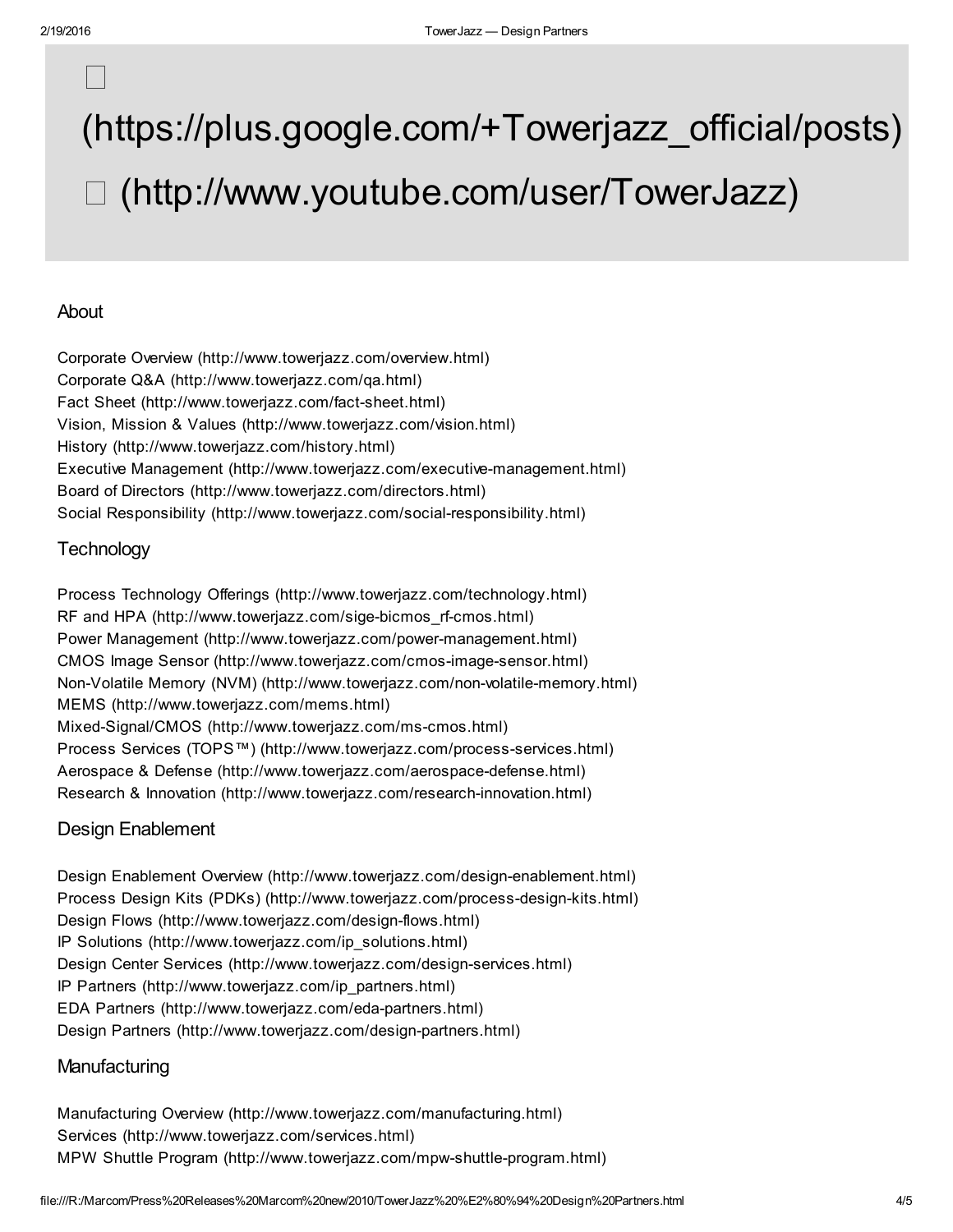## $\begin{tabular}{|c|c|} \hline \quad \quad & \quad \quad & \quad \quad \\ \hline \quad \quad & \quad \quad & \quad \quad \\ \hline \quad \quad & \quad \quad & \quad \quad \\ \hline \end{tabular}$

# [\(https://plus.google.com/+Towerjazz\\_official/posts\)](https://plus.google.com/+Towerjazz_official/posts) [\(http://www.youtube.com/user/TowerJazz\)](http://www.youtube.com/user/TowerJazz)

#### About

Corporate Overview [\(http://www.towerjazz.com/overview.html\)](http://www.towerjazz.com/overview.html) Corporate Q&A [\(http://www.towerjazz.com/qa.html\)](http://www.towerjazz.com/qa.html) Fact Sheet [\(http://www.towerjazz.com/fact-sheet.html\)](http://www.towerjazz.com/fact-sheet.html) Vision, Mission & Values [\(http://www.towerjazz.com/vision.html\)](http://www.towerjazz.com/vision.html) History [\(http://www.towerjazz.com/history.html\)](http://www.towerjazz.com/history.html) Executive Management [\(http://www.towerjazz.com/executive-management.html\)](http://www.towerjazz.com/executive-management.html) Board of Directors [\(http://www.towerjazz.com/directors.html\)](http://www.towerjazz.com/directors.html) Social Responsibility [\(http://www.towerjazz.com/social-responsibility.html\)](http://www.towerjazz.com/social-responsibility.html)

#### **Technology**

Process Technology Offerings [\(http://www.towerjazz.com/technology.html\)](http://www.towerjazz.com/technology.html) RF and HPA [\(http://www.towerjazz.com/sige-bicmos\\_rf-cmos.html\)](http://www.towerjazz.com/sige-bicmos_rf-cmos.html) Power Management [\(http://www.towerjazz.com/power-management.html\)](http://www.towerjazz.com/power-management.html) CMOS Image Sensor [\(http://www.towerjazz.com/cmos-image-sensor.html\)](http://www.towerjazz.com/cmos-image-sensor.html) Non-Volatile Memory (NVM) [\(http://www.towerjazz.com/non-volatile-memory.html\)](http://www.towerjazz.com/non-volatile-memory.html) MEMS [\(http://www.towerjazz.com/mems.html\)](http://www.towerjazz.com/mems.html) Mixed-Signal/CMOS [\(http://www.towerjazz.com/ms-cmos.html\)](http://www.towerjazz.com/ms-cmos.html) Process Services (TOPS™) [\(http://www.towerjazz.com/process-services.html\)](http://www.towerjazz.com/process-services.html) Aerospace & Defense [\(http://www.towerjazz.com/aerospace-defense.html\)](http://www.towerjazz.com/aerospace-defense.html) Research & Innovation [\(http://www.towerjazz.com/research-innovation.html\)](http://www.towerjazz.com/research-innovation.html)

#### Design Enablement

Design Enablement Overview [\(http://www.towerjazz.com/design-enablement.html\)](http://www.towerjazz.com/design-enablement.html) Process Design Kits (PDKs) [\(http://www.towerjazz.com/process-design-kits.html\)](http://www.towerjazz.com/process-design-kits.html) Design Flows [\(http://www.towerjazz.com/design-flows.html\)](http://www.towerjazz.com/design-flows.html) IP Solutions [\(http://www.towerjazz.com/ip\\_solutions.html\)](http://www.towerjazz.com/ip_solutions.html) Design Center Services [\(http://www.towerjazz.com/design-services.html\)](http://www.towerjazz.com/design-services.html) IP Partners [\(http://www.towerjazz.com/ip\\_partners.html\)](http://www.towerjazz.com/ip_partners.html) EDA Partners [\(http://www.towerjazz.com/eda-partners.html\)](http://www.towerjazz.com/eda-partners.html) Design Partners [\(http://www.towerjazz.com/design-partners.html\)](http://www.towerjazz.com/design-partners.html)

#### **Manufacturing**

Manufacturing Overview [\(http://www.towerjazz.com/manufacturing.html\)](http://www.towerjazz.com/manufacturing.html) Services [\(http://www.towerjazz.com/services.html\)](http://www.towerjazz.com/services.html) MPW Shuttle Program [\(http://www.towerjazz.com/mpw-shuttle-program.html\)](http://www.towerjazz.com/mpw-shuttle-program.html)